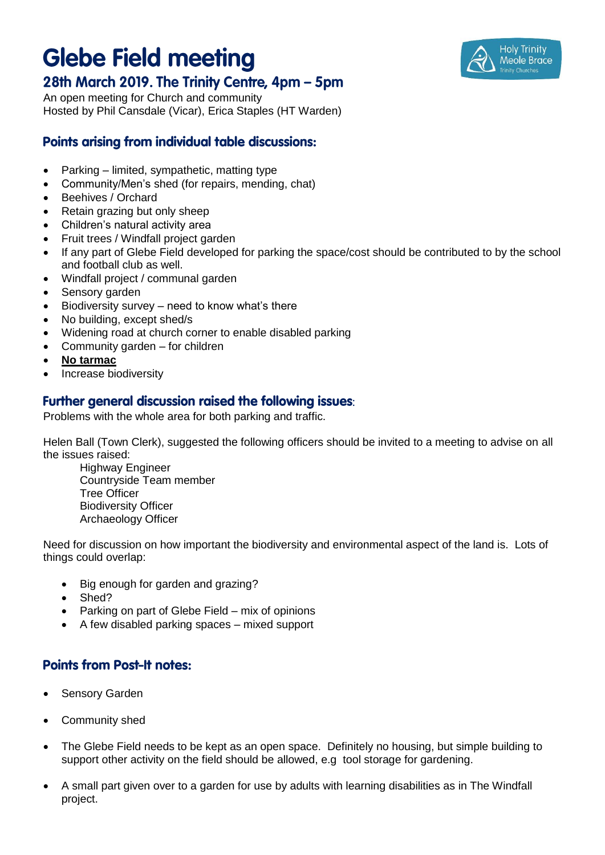## **Glebe Field meeting**



An open meeting for Church and community Hosted by Phil Cansdale (Vicar), Erica Staples (HT Warden)

## **Points arising from individual table discussions:**

- Parking limited, sympathetic, matting type
- Community/Men's shed (for repairs, mending, chat)
- Beehives / Orchard
- Retain grazing but only sheep
- Children's natural activity area
- Fruit trees / Windfall project garden
- If any part of Glebe Field developed for parking the space/cost should be contributed to by the school and football club as well.
- Windfall project / communal garden
- Sensory garden
- $\bullet$  Biodiversity survey need to know what's there
- No building, except shed/s
- Widening road at church corner to enable disabled parking
- Community garden for children
- **No tarmac**
- Increase biodiversity

## Further general discussion raised the following issues:

Problems with the whole area for both parking and traffic.

Helen Ball (Town Clerk), suggested the following officers should be invited to a meeting to advise on all the issues raised:

Highway Engineer Countryside Team member Tree Officer Biodiversity Officer Archaeology Officer

Need for discussion on how important the biodiversity and environmental aspect of the land is. Lots of things could overlap:

- Big enough for garden and grazing?
- Shed?
- Parking on part of Glebe Field mix of opinions
- A few disabled parking spaces mixed support

## **Points from Post-It notes:**

- Sensory Garden
- Community shed
- The Glebe Field needs to be kept as an open space. Definitely no housing, but simple building to support other activity on the field should be allowed, e.g tool storage for gardening.
- A small part given over to a garden for use by adults with learning disabilities as in The Windfall project.